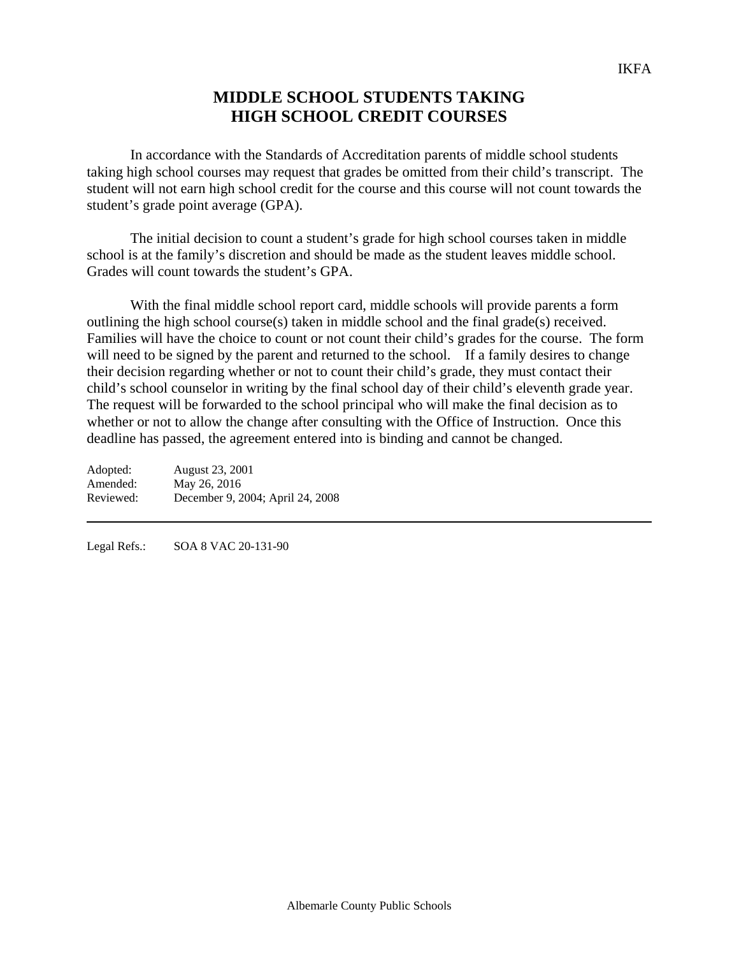## **MIDDLE SCHOOL STUDENTS TAKING HIGH SCHOOL CREDIT COURSES**

In accordance with the Standards of Accreditation parents of middle school students taking high school courses may request that grades be omitted from their child's transcript. The student will not earn high school credit for the course and this course will not count towards the student's grade point average (GPA).

The initial decision to count a student's grade for high school courses taken in middle school is at the family's discretion and should be made as the student leaves middle school. Grades will count towards the student's GPA.

With the final middle school report card, middle schools will provide parents a form outlining the high school course(s) taken in middle school and the final grade(s) received. Families will have the choice to count or not count their child's grades for the course. The form will need to be signed by the parent and returned to the school. If a family desires to change their decision regarding whether or not to count their child's grade, they must contact their child's school counselor in writing by the final school day of their child's eleventh grade year. The request will be forwarded to the school principal who will make the final decision as to whether or not to allow the change after consulting with the Office of Instruction. Once this deadline has passed, the agreement entered into is binding and cannot be changed.

| Adopted:  | August 23, 2001                  |
|-----------|----------------------------------|
| Amended:  | May 26, 2016                     |
| Reviewed: | December 9, 2004; April 24, 2008 |

Legal Refs.: SOA 8 VAC 20-131-90